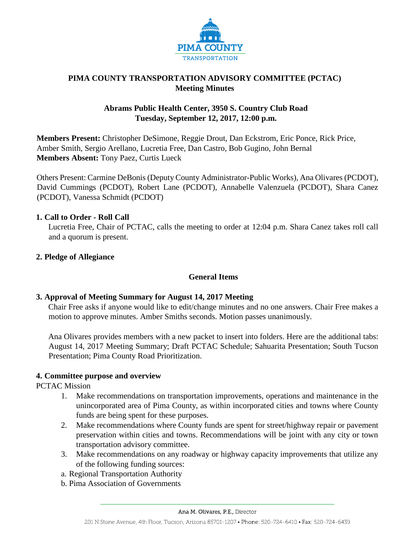

# **PIMA COUNTY TRANSPORTATION ADVISORY COMMITTEE (PCTAC) Meeting Minutes**

# **Abrams Public Health Center, 3950 S. Country Club Road Tuesday, September 12, 2017, 12:00 p.m.**

**Members Present:** Christopher DeSimone, Reggie Drout, Dan Eckstrom, Eric Ponce, Rick Price, Amber Smith, Sergio Arellano, Lucretia Free, Dan Castro, Bob Gugino, John Bernal **Members Absent:** Tony Paez, Curtis Lueck

Others Present: Carmine DeBonis (Deputy County Administrator-Public Works), Ana Olivares (PCDOT), David Cummings (PCDOT), Robert Lane (PCDOT), Annabelle Valenzuela (PCDOT), Shara Canez (PCDOT), Vanessa Schmidt (PCDOT)

# **1. Call to Order - Roll Call**

Lucretia Free, Chair of PCTAC, calls the meeting to order at 12:04 p.m. Shara Canez takes roll call and a quorum is present.

# **2. Pledge of Allegiance**

# **General Items**

# **3. Approval of Meeting Summary for August 14, 2017 Meeting**

Chair Free asks if anyone would like to edit/change minutes and no one answers. Chair Free makes a motion to approve minutes. Amber Smiths seconds. Motion passes unanimously.

Ana Olivares provides members with a new packet to insert into folders. Here are the additional tabs: August 14, 2017 Meeting Summary; Draft PCTAC Schedule; Sahuarita Presentation; South Tucson Presentation; Pima County Road Prioritization.

# **4. Committee purpose and overview**

PCTAC Mission

- 1. Make recommendations on transportation improvements, operations and maintenance in the unincorporated area of Pima County, as within incorporated cities and towns where County funds are being spent for these purposes.
- 2. Make recommendations where County funds are spent for street/highway repair or pavement preservation within cities and towns. Recommendations will be joint with any city or town transportation advisory committee.
- 3. Make recommendations on any roadway or highway capacity improvements that utilize any of the following funding sources:
- a. Regional Transportation Authority
- b. Pima Association of Governments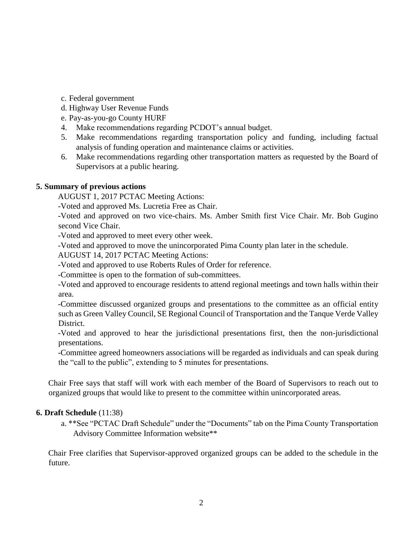- c. Federal government
- d. Highway User Revenue Funds
- e. Pay-as-you-go County HURF
- 4. Make recommendations regarding PCDOT's annual budget.
- 5. Make recommendations regarding transportation policy and funding, including factual analysis of funding operation and maintenance claims or activities.
- 6. Make recommendations regarding other transportation matters as requested by the Board of Supervisors at a public hearing.

# **5. Summary of previous actions**

AUGUST 1, 2017 PCTAC Meeting Actions:

-Voted and approved Ms. Lucretia Free as Chair.

-Voted and approved on two vice-chairs. Ms. Amber Smith first Vice Chair. Mr. Bob Gugino second Vice Chair.

-Voted and approved to meet every other week.

-Voted and approved to move the unincorporated Pima County plan later in the schedule.

AUGUST 14, 2017 PCTAC Meeting Actions:

-Voted and approved to use Roberts Rules of Order for reference.

-Committee is open to the formation of sub-committees.

-Voted and approved to encourage residents to attend regional meetings and town halls within their area.

-Committee discussed organized groups and presentations to the committee as an official entity such as Green Valley Council, SE Regional Council of Transportation and the Tanque Verde Valley District.

-Voted and approved to hear the jurisdictional presentations first, then the non-jurisdictional presentations.

-Committee agreed homeowners associations will be regarded as individuals and can speak during the "call to the public", extending to 5 minutes for presentations.

Chair Free says that staff will work with each member of the Board of Supervisors to reach out to organized groups that would like to present to the committee within unincorporated areas.

# **6. Draft Schedule** (11:38)

a. \*\*See "PCTAC Draft Schedule" under the "Documents" tab on the Pima County Transportation Advisory Committee Information website\*\*

Chair Free clarifies that Supervisor-approved organized groups can be added to the schedule in the future.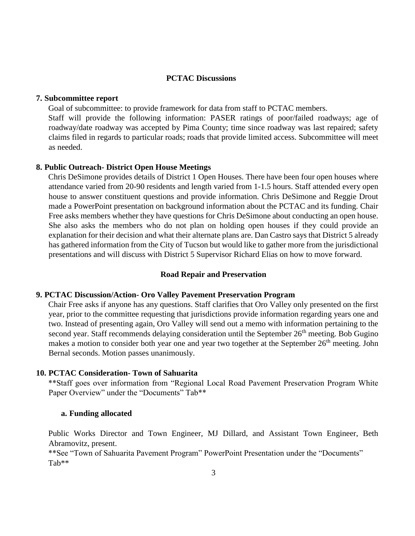# **PCTAC Discussions**

#### **7. Subcommittee report**

Goal of subcommittee: to provide framework for data from staff to PCTAC members.

Staff will provide the following information: PASER ratings of poor/failed roadways; age of roadway/date roadway was accepted by Pima County; time since roadway was last repaired; safety claims filed in regards to particular roads; roads that provide limited access. Subcommittee will meet as needed.

#### **8. Public Outreach- District Open House Meetings**

Chris DeSimone provides details of District 1 Open Houses. There have been four open houses where attendance varied from 20-90 residents and length varied from 1-1.5 hours. Staff attended every open house to answer constituent questions and provide information. Chris DeSimone and Reggie Drout made a PowerPoint presentation on background information about the PCTAC and its funding. Chair Free asks members whether they have questions for Chris DeSimone about conducting an open house. She also asks the members who do not plan on holding open houses if they could provide an explanation for their decision and what their alternate plans are. Dan Castro says that District 5 already has gathered information from the City of Tucson but would like to gather more from the jurisdictional presentations and will discuss with District 5 Supervisor Richard Elias on how to move forward.

#### **Road Repair and Preservation**

#### **9. PCTAC Discussion/Action- Oro Valley Pavement Preservation Program**

Chair Free asks if anyone has any questions. Staff clarifies that Oro Valley only presented on the first year, prior to the committee requesting that jurisdictions provide information regarding years one and two. Instead of presenting again, Oro Valley will send out a memo with information pertaining to the second year. Staff recommends delaying consideration until the September 26<sup>th</sup> meeting. Bob Gugino makes a motion to consider both year one and year two together at the September 26<sup>th</sup> meeting. John Bernal seconds. Motion passes unanimously.

### **10. PCTAC Consideration- Town of Sahuarita**

\*\*Staff goes over information from "Regional Local Road Pavement Preservation Program White Paper Overview" under the "Documents" Tab\*\*

#### **a. Funding allocated**

Public Works Director and Town Engineer, MJ Dillard, and Assistant Town Engineer, Beth Abramovitz, present.

\*\*See "Town of Sahuarita Pavement Program" PowerPoint Presentation under the "Documents" Tab\*\*